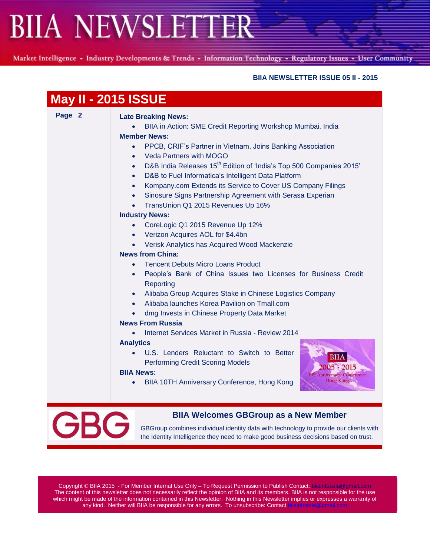Market Intelligence - Industry Developments & Trends - Information Technology - Regulatory Issues - User Community

#### **BIIA NEWSLETTER ISSUE 05 II - 2015**

| Page 2 | <b>Late Breaking News:</b>                                                                   |
|--------|----------------------------------------------------------------------------------------------|
|        | BIIA in Action: SME Credit Reporting Workshop Mumbai. India                                  |
|        | <b>Member News:</b>                                                                          |
|        | PPCB, CRIF's Partner in Vietnam, Joins Banking Association<br>$\bullet$                      |
|        | <b>Veda Partners with MOGO</b><br>$\bullet$                                                  |
|        | D&B India Releases 15 <sup>th</sup> Edition of 'India's Top 500 Companies 2015'<br>$\bullet$ |
|        | D&B to Fuel Informatica's Intelligent Data Platform<br>$\bullet$                             |
|        | Kompany.com Extends its Service to Cover US Company Filings<br>$\bullet$                     |
|        | Sinosure Signs Partnership Agreement with Serasa Experian<br>$\bullet$                       |
|        | TransUnion Q1 2015 Revenues Up 16%<br>$\bullet$                                              |
|        | <b>Industry News:</b>                                                                        |
|        | CoreLogic Q1 2015 Revenue Up 12%<br>$\bullet$                                                |
|        | Verizon Acquires AOL for \$4.4bn<br>$\bullet$                                                |
|        | Verisk Analytics has Acquired Wood Mackenzie<br>$\bullet$                                    |
|        | <b>News from China:</b>                                                                      |
|        | <b>Tencent Debuts Micro Loans Product</b><br>$\bullet$                                       |
|        | People's Bank of China Issues two Licenses for Business Credit<br>$\bullet$                  |
|        | Reporting                                                                                    |
|        | Alibaba Group Acquires Stake in Chinese Logistics Company<br>$\bullet$                       |
|        | Alibaba launches Korea Pavilion on Tmall.com                                                 |
|        | dmg Invests in Chinese Property Data Market                                                  |
|        | <b>News From Russia</b>                                                                      |
|        | Internet Services Market in Russia - Review 2014                                             |
|        | <b>Analytics</b>                                                                             |
|        | U.S. Lenders Reluctant to Switch to Better<br>$\bullet$                                      |
|        | <b>Performing Credit Scoring Models</b>                                                      |
|        | <b>BIIA News:</b><br><b><i>rersary Conference</i></b>                                        |
|        | Hong Kong<br>BIIA 10TH Anniversary Conference, Hong Kong<br>$\bullet$                        |



#### **BIIA Welcomes GBGroup as a New Member**

GBGroup combines individual identity data with technology to provide our clients with the Identity Intelligence they need to make good business decisions based on trust.

Copyright © BIIA 2015 - For Member Internal Use Only – To Request Permission to Publish Contact: biiainfoasia@gmail.com The content of this newsletter does not necessarily reflect the opinion of BIIA and its members. BIIA is not responsible for the use which might be made of the information contained in this Newsletter. Nothing in this Newsletter implies or expresses a warranty of any kind. Neither will BIIA be responsible for any errors. To unsubscribe: Contact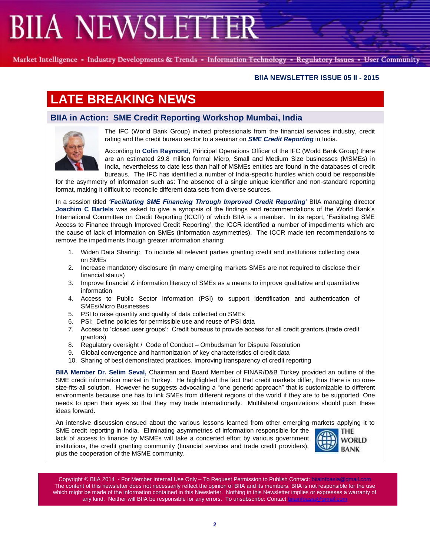Market Intelligence - Industry Developments & Trends - Information Technology - Regulatory Issues - User Community

#### **BIIA NEWSLETTER ISSUE 05 II - 2015**

### **LATE BREAKING NEWS**

#### **BIIA in Action: SME Credit Reporting Workshop Mumbai, India**



The IFC (World Bank Group) invited professionals from the financial services industry, credit rating and the credit bureau sector to a seminar on *SME Credit Reporting* in India.

According to **Colin Raymond**, Principal Operations Officer of the IFC (World Bank Group) there are an estimated 29.8 million formal Micro, Small and Medium Size businesses (MSMEs) in India, nevertheless to date less than half of MSMEs entities are found in the databases of credit bureaus. The IFC has identified a number of India-specific hurdles which could be responsible

for the asymmetry of information such as: The absence of a single unique identifier and non-standard reporting format, making it difficult to reconcile different data sets from diverse sources.

In a session titled *'Facilitating SME Financing Through Improved Credit Reporting'* BIIA managing director **Joachim C Bartels** was asked to give a synopsis of the findings and recommendations of the World Bank's International Committee on Credit Reporting (ICCR) of which BIIA is a member. In its report, 'Facilitating SME Access to Finance through Improved Credit Reporting', the ICCR identified a number of impediments which are the cause of lack of information on SMEs (information asymmetries). The ICCR made ten recommendations to remove the impediments though greater information sharing:

- 1. Widen Data Sharing: To include all relevant parties granting credit and institutions collecting data on SMEs
- 2. Increase mandatory disclosure (in many emerging markets SMEs are not required to disclose their financial status)
- 3. Improve financial & information literacy of SMEs as a means to improve qualitative and quantitative information
- 4. Access to Public Sector Information (PSI) to support identification and authentication of SMEs/Micro Businesses
- 5. PSI to raise quantity and quality of data collected on SMEs
- 6. PSI: Define policies for permissible use and reuse of PSI data
- 7. Access to 'closed user groups': Credit bureaus to provide access for all credit grantors (trade credit grantors)
- 8. Regulatory oversight / Code of Conduct Ombudsman for Dispute Resolution
- 9. Global convergence and harmonization of key characteristics of credit data
- 10. Sharing of best demonstrated practices. Improving transparency of credit reporting

**BIIA Member Dr. Selim Seval,** Chairman and Board Member of FINAR/D&B Turkey provided an outline of the SME credit information market in Turkey. He highlighted the fact that credit markets differ, thus there is no onesize-fits-all solution. However he suggests advocating a "one generic approach" that is customizable to different environments because one has to link SMEs from different regions of the world if they are to be supported. One needs to open their eyes so that they may trade internationally. Multilateral organizations should push these ideas forward.

An intensive discussion ensued about the various lessons learned from other emerging markets applying it to

SME credit reporting in India. Eliminating asymmetries of information responsible for the lack of access to finance by MSMEs will take a concerted effort by various government institutions, the credit granting community (financial services and trade credit providers), plus the cooperation of the MSME community.



Copyright © BIIA 2014 - For Member Internal Use Only – To Request Permission to Publish Contact: biiainfoasia The content of this newsletter does not necessarily reflect the opinion of BIIA and its members. BIIA is not responsible for the use which might be made of the information contained in this Newsletter. Nothing in this Newsletter implies or expresses a warranty of any kind. Neither will BIIA be responsible for any errors. To unsubscribe: Contact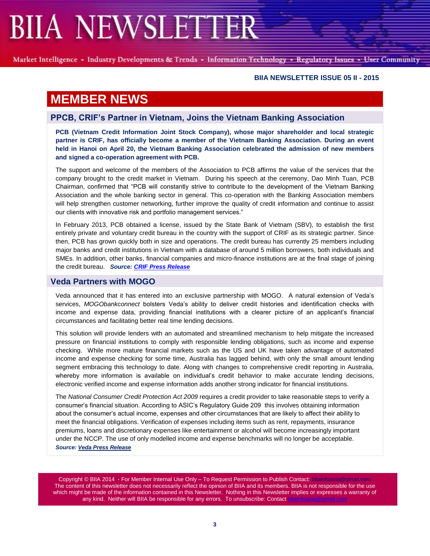Market Intelligence - Industry Developments & Trends - Information Technology - Regulatory Issues - User Community

#### **BIIA NEWSLETTER ISSUE 05 II - 2015**

### **MEMBER NEWS**

#### **PPCB, CRIF's Partner in Vietnam, Joins the Vietnam Banking Association**

**PCB (Vietnam Credit Information Joint Stock Company), whose major shareholder and local strategic partner is CRIF, has officially become a member of the Vietnam Banking Association. During an event held in Hanoi on April 20, the Vietnam Banking Association celebrated the admission of new members and signed a co-operation agreement with PCB.**

The support and welcome of the members of the Association to PCB affirms the value of the services that the company brought to the credit market in Vietnam. During his speech at the ceremony, Dao Minh Tuan, PCB Chairman, confirmed that "PCB will constantly strive to contribute to the development of the Vietnam Banking Association and the whole banking sector in general. This co-operation with the Banking Association members will help strengthen customer networking, further improve the quality of credit information and continue to assist our clients with innovative risk and portfolio management services."

In February 2013, PCB obtained a license, issued by the State Bank of Vietnam (SBV), to establish the first entirely private and voluntary credit bureau in the country with the support of CRIF as its strategic partner. Since then, PCB has grown quickly both in size and operations. The credit bureau has currently 25 members including major banks and credit institutions in Vietnam with a database of around 5 million borrowers, both individuals and SMEs. In addition, other banks, financial companies and micro-finance institutions are at the final stage of joining the credit bureau. *Source[: CRIF Press Release](http://www.crif.com/site/en/News/Press-Releases/Pages/PCB,-CRIF-partner-in-Vietnam,-joins-the-Vietnam-Banking-Association.aspx)*

#### **Veda Partners with MOGO**

Veda announced that it has entered into an exclusive partnership with MOGO. A natural extension of Veda's services, *MOGObankconnect* bolsters Veda's ability to deliver credit histories and identification checks with income and expense data, providing financial institutions with a clearer picture of an applicant's financial circumstances and facilitating better real time lending decisions.

This solution will provide lenders with an automated and streamlined mechanism to help mitigate the increased pressure on financial institutions to comply with responsible lending obligations, such as income and expense checking. While more mature financial markets such as the US and UK have taken advantage of automated income and expense checking for some time, Australia has lagged behind, with only the small amount lending segment embracing this technology to date. Along with changes to comprehensive credit reporting in Australia, whereby more information is available on individual's credit behavior to make accurate lending decisions, electronic verified income and expense information adds another strong indicator for financial institutions.

The *National Consumer Credit Protection Act 2009* requires a credit provider to take reasonable steps to verify a consumer's financial situation. According to ASIC's Regulatory Guide 209 this involves obtaining information about the consumer's actual income, expenses and other circumstances that are likely to affect their ability to meet the financial obligations. Verification of expenses including items such as rent, repayments, insurance premiums, loans and discretionary expenses like entertainment or alcohol will become increasingly important under the NCCP. The use of only modelled income and expense benchmarks will no longer be acceptable. *Source[: Veda Press Release](www.veda.com.ausource:%20Veda%20Press%20Release/insights/veda-partners-mogo-bring-real-time-income-checks-financial-institutions)*

Copyright © BIIA 2014 - For Member Internal Use Only - To Request Permission to Publish Contact: bilainfoa The content of this newsletter does not necessarily reflect the opinion of BIIA and its members. BIIA is not responsible for the use which might be made of the information contained in this Newsletter. Nothing in this Newsletter implies or expresses a warranty of any kind. Neither will BIIA be responsible for any errors. To unsubscribe: Contact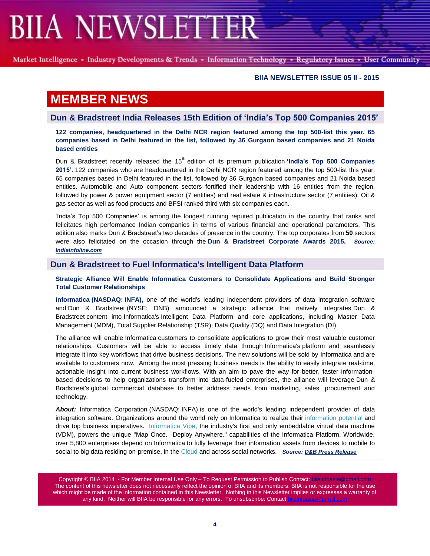Market Intelligence - Industry Developments & Trends - Information Technology - Regulatory Issues - User Community

#### **BIIA NEWSLETTER ISSUE 05 II - 2015**

### **MEMBER NEWS**

#### **Dun & Bradstreet India Releases 15th Edition of 'India's Top 500 Companies 2015'**

**122 companies, headquartered in the Delhi NCR region featured among the top 500-list this year. 65 companies based in Delhi featured in the list, followed by 36 Gurgaon based companies and 21 Noida based entities**

Dun & Bradstreet recently released the 15th edition of its premium publication **'India's Top 500 Companies 2015'**. 122 companies who are headquartered in the Delhi NCR region featured among the top 500-list this year. 65 companies based in Delhi featured in the list, followed by 36 Gurgaon based companies and 21 Noida based entities. Automobile and Auto component sectors fortified their leadership with 16 entities from the region, followed by power & power equipment sector (7 entities) and real estate & infrastructure sector (7 entities). Oil & gas sector as well as food products and BFSI ranked third with six companies each.

'India's Top 500 Companies' is among the longest running reputed publication in the country that ranks and felicitates high performance Indian companies in terms of various financial and operational parameters. This edition also marks Dun & Bradstreet's two decades of presence in the country. The top corporates from **50** sectors were also felicitated on the occasion through the **Dun & Bradstreet Corporate Awards 2015.** *Source: [Indiainfoline.com](http://www.indiainfoline.com/article/news-business/dun-bradstreet-releases-15th-edition-of-indias-top-500-companies-2015-115052700813_1.html)*

#### **Dun & Bradstreet to Fuel Informatica's Intelligent Data Platform**

**Strategic Alliance Will Enable Informatica Customers to Consolidate Applications and Build Stronger Total Customer Relationships**

**Informatica (NASDAQ: INFA),** one of the world's leading independent providers of data integration software and Dun & Bradstreet (NYSE: DNB) announced a strategic alliance that natively integrates Dun & Bradstreet content into Informatica's Intelligent Data Platform and core applications, including Master Data Management (MDM), Total Supplier Relationship (TSR), Data Quality (DQ) and Data Integration (DI).

The alliance will enable Informatica customers to consolidate applications to grow their most valuable customer relationships. Customers will be able to access timely data through Informatica's platform and seamlessly integrate it into key workflows that drive business decisions. The new solutions will be sold by Informatica and are available to customers now. Among the most pressing business needs is the ability to easily integrate real-time, actionable insight into current business workflows. With an aim to pave the way for better, faster informationbased decisions to help organizations transform into data-fueled enterprises, the alliance will leverage Dun & Bradstreet's global commercial database to better address needs from marketing, sales, procurement and technology.

About: Informatica Corporation (NASDAQ: INFA) is one of the world's leading independent provider of data integration software. Organizations around the world rely on Informatica to realize their [information potential](https://www.informatica.com/#fbid=HTwa0VKJRCM) and drive top business imperatives. [Informatica Vibe,](https://www.informatica.com/products/informatica-platform/vibe.html) the industry's first and only embeddable virtual data machine (VDM), powers the unique "Map Once. Deploy Anywhere." capabilities of the Informatica Platform. Worldwide, over 5,800 enterprises depend on Informatica to fully leverage their information assets from devices to mobile to social to big data residing on-premise, in the [Cloud](https://www.informatica.com/cloud.html#fbid=HTwa0VKJRCM) and across social networks. *Source: [D&B Press Release](http://investor.dnb.com/releasedetail.cfm?ReleaseID=912338)*

Copyright © BIIA 2014 - For Member Internal Use Only - To Request Permission to Publish Contact: biiainfoasia The content of this newsletter does not necessarily reflect the opinion of BIIA and its members. BIIA is not responsible for the use which might be made of the information contained in this Newsletter. Nothing in this Newsletter implies or expresses a warranty of any kind. Neither will BIIA be responsible for any errors. To unsubscribe: Contact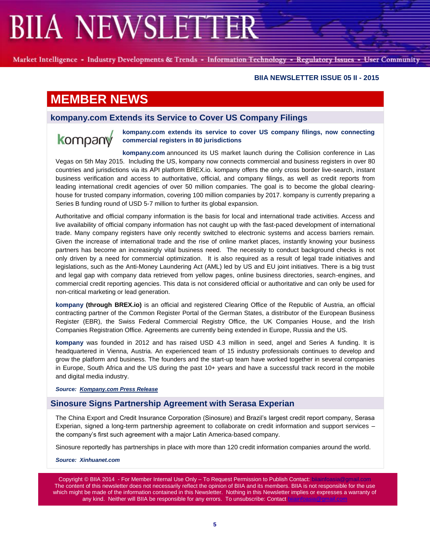Market Intelligence - Industry Developments & Trends - Information Technology - Regulatory Issues - User Community

#### **BIIA NEWSLETTER ISSUE 05 II - 2015**

### **MEMBER NEWS**

#### **kompany.com Extends its Service to Cover US Company Filings**

## kompany

**kompany.com extends its service to cover US company filings, now connecting commercial registers in 80 jurisdictions**

**[kompany.com](https://www.kompany.com/)** announced its US market launch during the Collision conference in Las Vegas on 5th May 2015. Including the US, kompany now connects commercial and business registers in over 80 countries and jurisdictions via its API platform [BREX.io.](https://www.brex.io/) kompany offers the only cross border live-search, instant business verification and access to authoritative, official, and company filings, as well as credit reports from leading international credit agencies of over 50 million companies. The goal is to become the global clearinghouse for trusted company information, covering 100 million companies by 2017. kompany is currently preparing a Series B funding round of USD 5-7 million to further its global expansion.

Authoritative and official company information is the basis for local and international trade activities. Access and live availability of official company information has not caught up with the fast-paced development of international trade. Many company registers have only recently switched to electronic systems and access barriers remain. Given the increase of international trade and the rise of online market places, instantly knowing your business partners has become an increasingly vital business need. The necessity to conduct background checks is not only driven by a need for commercial optimization. It is also required as a result of legal trade initiatives and legislations, such as the Anti-Money Laundering Act (AML) led by US and EU joint initiatives. There is a big trust and legal gap with company data retrieved from yellow pages, online business directories, search-engines, and commercial credit reporting agencies. This data is not considered official or authoritative and can only be used for non-critical marketing or lead generation.

**kompany (through BREX.io)** is an official and registered Clearing Office of the Republic of Austria, an official contracting partner of the Common Register Portal of the German States, a distributor of the European Business Register (EBR), the Swiss Federal Commercial Registry Office, the UK Companies House, and the Irish Companies Registration Office. Agreements are currently being extended in Europe, Russia and the US.

**kompany** was founded in 2012 and has raised USD 4.3 million in seed, angel and Series A funding. It is headquartered in Vienna, Austria. An experienced team of 15 industry professionals continues to develop and grow the platform and business. The founders and the start-up team have worked together in several companies in Europe, South Africa and the US during the past 10+ years and have a successful track record in the mobile and digital media industry.

*Source: [Kompany.com Press Release](https://www.kompany.com/pr/kompany-com-extends-service-cover-us-company-filings-now-connecting-commercial-registers-80-jurisdictions/)*

#### **Sinosure Signs Partnership Agreement with Serasa Experian**

The China Export and Credit Insurance Corporation (Sinosure) and Brazil's largest credit report company, Serasa Experian, signed a long-term partnership agreement to collaborate on credit information and support services – the company's first such agreement with a major Latin America-based company.

Sinosure reportedly has partnerships in place with more than 120 credit information companies around the world.

*Source: Xinhuanet.com*

Copyright © BIIA 2014 - For Member Internal Use Only – To Request Permission to Publish Contact: biiainfoasi The content of this newsletter does not necessarily reflect the opinion of BIIA and its members. BIIA is not responsible for the use which might be made of the information contained in this Newsletter. Nothing in this Newsletter implies or expresses a warranty of any kind. Neither will BIIA be responsible for any errors. To unsubscribe: Contact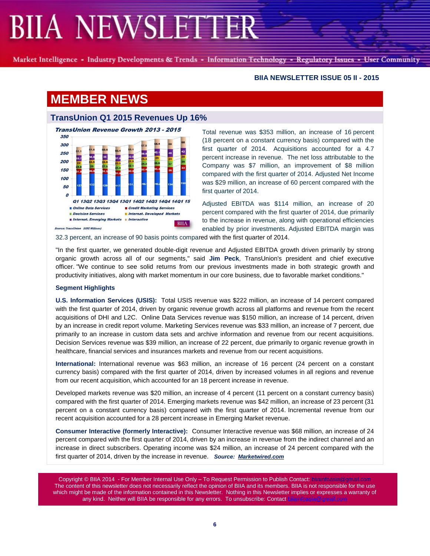Market Intelligence - Industry Developments & Trends - Information Technology - Regulatory Issues - User Community

#### **BIIA NEWSLETTER ISSUE 05 II - 2015**

### **MEMBER NEWS**

#### **TransUnion Q1 2015 Revenues Up 16%**



Total revenue was \$353 million, an increase of 16 percent (18 percent on a constant currency basis) compared with the first quarter of 2014. Acquisitions accounted for a 4.7 percent increase in revenue. The net loss attributable to the Company was \$7 million, an improvement of \$8 million compared with the first quarter of 2014. Adjusted Net Income was \$29 million, an increase of 60 percent compared with the first quarter of 2014.

Adjusted EBITDA was \$114 million, an increase of 20 percent compared with the first quarter of 2014, due primarily to the increase in revenue, along with operational efficiencies enabled by prior investments. Adjusted EBITDA margin was

32.3 percent, an increase of 90 basis points compared with the first quarter of 2014.

"In the first quarter, we generated double-digit revenue and Adjusted EBITDA growth driven primarily by strong organic growth across all of our segments," said **Jim Peck**, TransUnion's president and chief executive officer. "We continue to see solid returns from our previous investments made in both strategic growth and productivity initiatives, along with market momentum in our core business, due to favorable market conditions."

#### **Segment Highlights**

**U.S. Information Services (USIS):** Total USIS revenue was \$222 million, an increase of 14 percent compared with the first quarter of 2014, driven by organic revenue growth across all platforms and revenue from the recent acquisitions of DHI and L2C. Online Data Services revenue was \$150 million, an increase of 14 percent, driven by an increase in credit report volume. Marketing Services revenue was \$33 million, an increase of 7 percent, due primarily to an increase in custom data sets and archive information and revenue from our recent acquisitions. Decision Services revenue was \$39 million, an increase of 22 percent, due primarily to organic revenue growth in healthcare, financial services and insurances markets and revenue from our recent acquisitions.

**International:** International revenue was \$63 million, an increase of 16 percent (24 percent on a constant currency basis) compared with the first quarter of 2014, driven by increased volumes in all regions and revenue from our recent acquisition, which accounted for an 18 percent increase in revenue.

Developed markets revenue was \$20 million, an increase of 4 percent (11 percent on a constant currency basis) compared with the first quarter of 2014. Emerging markets revenue was \$42 million, an increase of 23 percent (31 percent on a constant currency basis) compared with the first quarter of 2014. Incremental revenue from our recent acquisition accounted for a 28 percent increase in Emerging Market revenue.

**Consumer Interactive (formerly Interactive):** Consumer Interactive revenue was \$68 million, an increase of 24 percent compared with the first quarter of 2014, driven by an increase in revenue from the indirect channel and an increase in direct subscribers. Operating income was \$24 million, an increase of 24 percent compared with the first quarter of 2014, driven by the increase in revenue. *Source: [Marketwired.com](http://www.marketwired.com/press-release/transunion-reports-first-quarter-2015-results-2017479.htm)*

Copyright © BIIA 2014 - For Member Internal Use Only - To Request Permission to Publish Contact: bilainfoasia The content of this newsletter does not necessarily reflect the opinion of BIIA and its members. BIIA is not responsible for the use which might be made of the information contained in this Newsletter. Nothing in this Newsletter implies or expresses a warranty of any kind. Neither will BIIA be responsible for any errors. To unsubscribe: Contact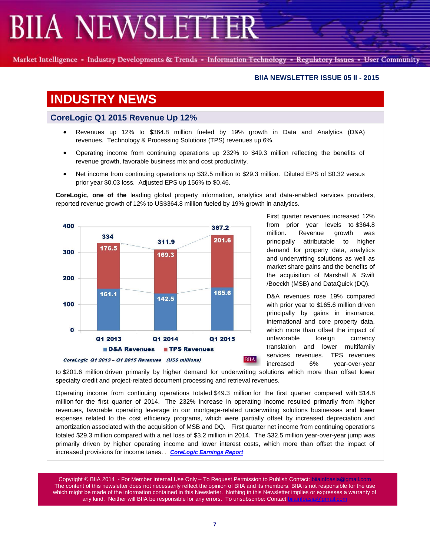Market Intelligence - Industry Developments & Trends - Information Technology - Regulatory Issues - User Community

#### **BIIA NEWSLETTER ISSUE 05 II - 2015**

### **INDUSTRY NEWS**

#### **CoreLogic Q1 2015 Revenue Up 12%**

- Revenues up 12% to \$364.8 million fueled by 19% growth in Data and Analytics (D&A) revenues. Technology & Processing Solutions (TPS) revenues up 6%.
- Operating income from continuing operations up 232% to \$49.3 million reflecting the benefits of revenue growth, favorable business mix and cost productivity.
- Net income from continuing operations up \$32.5 million to \$29.3 million. Diluted EPS of \$0.32 versus prior year \$0.03 loss. Adjusted EPS up 156% to \$0.46.

**CoreLogic, one of the** leading global property information, analytics and data-enabled services providers, reported revenue growth of 12% to US\$364.8 million fueled by 19% growth in analytics.



First quarter revenues increased 12% from prior year levels to \$364.8 million. Revenue growth was principally attributable to higher demand for property data, analytics and underwriting solutions as well as market share gains and the benefits of the acquisition of Marshall & Swift /Boeckh (MSB) and DataQuick (DQ).

D&A revenues rose 19% compared with prior year to \$165.6 million driven principally by gains in insurance, international and core property data, which more than offset the impact of unfavorable foreign currency translation and lower multifamily services revenues. TPS revenues increased 6% year-over-year

to \$201.6 million driven primarily by higher demand for underwriting solutions which more than offset lower specialty credit and project-related document processing and retrieval revenues.

Operating income from continuing operations totaled \$49.3 million for the first quarter compared with \$14.8 million for the first quarter of 2014. The 232% increase in operating income resulted primarily from higher revenues, favorable operating leverage in our mortgage-related underwriting solutions businesses and lower expenses related to the cost efficiency programs, which were partially offset by increased depreciation and amortization associated with the acquisition of MSB and DQ. First quarter net income from continuing operations totaled \$29.3 million compared with a net loss of \$3.2 million in 2014. The \$32.5 million year-over-year jump was primarily driven by higher operating income and lower interest costs, which more than offset the impact of increased provisions for income taxes. . *[CoreLogic Earnings Report](http://www.corelogic.com/about-us/news/corelogic-reports-first-quarter-2015-financial-results.aspx)*

Copyright © BIIA 2014 - For Member Internal Use Only - To Request Permission to Publish Contact: biiainfoasia The content of this newsletter does not necessarily reflect the opinion of BIIA and its members. BIIA is not responsible for the use which might be made of the information contained in this Newsletter. Nothing in this Newsletter implies or expresses a warranty of any kind. Neither will BIIA be responsible for any errors. To unsubscribe: Contact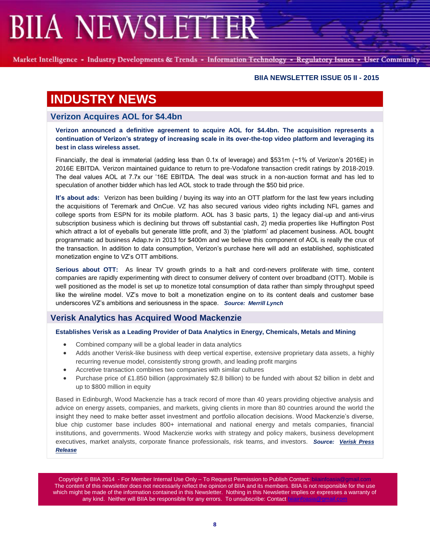Market Intelligence - Industry Developments & Trends - Information Technology - Regulatory Issues - User Community

#### **BIIA NEWSLETTER ISSUE 05 II - 2015**

### **INDUSTRY NEWS**

#### **Verizon Acquires AOL for \$4.4bn**

**Verizon announced a definitive agreement to acquire AOL for \$4.4bn. The acquisition represents a continuation of Verizon's strategy of increasing scale in its over-the-top video platform and leveraging its best in class wireless asset.** 

Financially, the deal is immaterial (adding less than 0.1x of leverage) and \$531m (~1% of Verizon's 2016E) in 2016E EBITDA. Verizon maintained guidance to return to pre-Vodafone transaction credit ratings by 2018-2019. The deal values AOL at 7.7x our '16E EBITDA. The deal was struck in a non-auction format and has led to speculation of another bidder which has led AOL stock to trade through the \$50 bid price.

**It's about ads:** Verizon has been building / buying its way into an OTT platform for the last few years including the acquisitions of Teremark and OnCue. VZ has also secured various video rights including NFL games and college sports from ESPN for its mobile platform. AOL has 3 basic parts, 1) the legacy dial-up and anti-virus subscription business which is declining but throws off substantial cash, 2) media properties like Huffington Post which attract a lot of eyeballs but generate little profit, and 3) the 'platform' ad placement business. AOL bought programmatic ad business Adap.tv in 2013 for \$400m and we believe this component of AOL is really the crux of the transaction. In addition to data consumption, Verizon's purchase here will add an established, sophisticated monetization engine to VZ's OTT ambitions.

**Serious about OTT:** As linear TV growth grinds to a halt and cord-nevers proliferate with time, content companies are rapidly experimenting with direct to consumer delivery of content over broadband (OTT). Mobile is well positioned as the model is set up to monetize total consumption of data rather than simply throughput speed like the wireline model. VZ's move to bolt a monetization engine on to its content deals and customer base underscores VZ's ambitions and seriousness in the space.*Source: Merrill Lynch* 

#### **Verisk Analytics has Acquired Wood Mackenzie**

#### **Establishes Verisk as a Leading Provider of Data Analytics in Energy, Chemicals, Metals and Mining**

- Combined company will be a global leader in data analytics
- Adds another Verisk-like business with deep vertical expertise, extensive proprietary data assets, a highly recurring revenue model, consistently strong growth, and leading profit margins
- Accretive transaction combines two companies with similar cultures
- Purchase price of £1.850 billion (approximately \$2.8 billion) to be funded with about \$2 billion in debt and up to \$800 million in equity

Based in Edinburgh, Wood Mackenzie has a track record of more than 40 years providing objective analysis and advice on energy assets, companies, and markets, giving clients in more than 80 countries around the world the insight they need to make better asset investment and portfolio allocation decisions. Wood Mackenzie's diverse, blue chip customer base includes 800+ international and national energy and metals companies, financial institutions, and governments. Wood Mackenzie works with strategy and policy makers, business development executives, market analysts, corporate finance professionals, risk teams, and investors. *Source: [Verisk Press](http://www.verisk.com/press-releases-verisk/2015/march-2015/verisk-to-acquire-wood-mackenzie.html)  [Release](http://www.verisk.com/press-releases-verisk/2015/march-2015/verisk-to-acquire-wood-mackenzie.html)*

Copyright © BIIA 2014 - For Member Internal Use Only – To Request Permission to Publish Contact: biiainfoasia The content of this newsletter does not necessarily reflect the opinion of BIIA and its members. BIIA is not responsible for the use which might be made of the information contained in this Newsletter. Nothing in this Newsletter implies or expresses a warranty of any kind. Neither will BIIA be responsible for any errors. To unsubscribe: Contact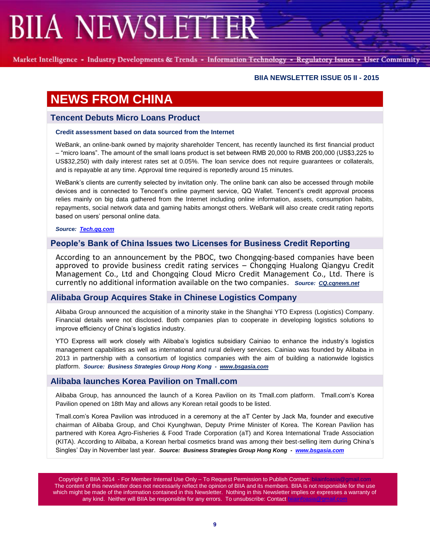Market Intelligence - Industry Developments & Trends - Information Technology - Regulatory Issues - User Community

#### **BIIA NEWSLETTER ISSUE 05 II - 2015**

### **NEWS FROM CHINA**

#### **Tencent Debuts Micro Loans Product**

#### **Credit assessment based on data sourced from the Internet**

WeBank, an online-bank owned by majority shareholder Tencent, has recently launched its first financial product – "micro loans". The amount of the small loans product is set between RMB 20,000 to RMB 200,000 (US\$3,225 to US\$32,250) with daily interest rates set at 0.05%. The loan service does not require guarantees or collaterals, and is repayable at any time. Approval time required is reportedly around 15 minutes.

WeBank's clients are currently selected by invitation only. The online bank can also be accessed through mobile devices and is connected to Tencent's online payment service, QQ Wallet. Tencent's credit approval process relies mainly on big data gathered from the Internet including online information, assets, consumption habits, repayments, social network data and gaming habits amongst others. WeBank will also create credit rating reports based on users' personal online data.

*Source: [Tech.qq.com](http://tech.qq.com/a/20150516/022625.htm)*

#### **People's Bank of China Issues two Licenses for Business Credit Reporting**

According to an announcement by the PBOC, two Chongqing-based companies have been approved to provide business credit rating services – Chongqing Hualong Qiangyu Credit Management Co., Ltd and Chongqing Cloud Micro Credit Management Co., Ltd. There is currently no additional information available on the two companies. *Source: [CQ.cqnews.net](http://cq.cqnews.net/sz/2015-05/13/content_34204678.htm)*

#### **Alibaba Group Acquires Stake in Chinese Logistics Company**

Alibaba Group announced the acquisition of a minority stake in the Shanghai YTO Express (Logistics) Company. Financial details were not disclosed. Both companies plan to cooperate in developing logistics solutions to improve efficiency of China's logistics industry.

YTO Express will work closely with Alibaba's logistics subsidiary Cainiao to enhance the industry's logistics management capabilities as well as international and rural delivery services. Cainiao was founded by Alibaba in 2013 in partnership with a consortium of logistics companies with the aim of building a nationwide logistics platform. *Source: Business Strategies Group Hong Kong - [www.bsgasia.com](http://www.bsgasia.com/)*

#### **Alibaba launches Korea Pavilion on Tmall.com**

Alibaba Group, has announced the launch of a Korea Pavilion on its Tmall.com platform. Tmall.com's Korea Pavilion opened on 18th May and allows any Korean retail goods to be listed.

Tmall.com's Korea Pavilion was introduced in a ceremony at the aT Center by Jack Ma, founder and executive chairman of Alibaba Group, and Choi Kyunghwan, Deputy Prime Minister of Korea. The Korean Pavilion has partnered with Korea Agro-Fisheries & Food Trade Corporation (aT) and Korea International Trade Association (KITA). According to Alibaba, a Korean herbal cosmetics brand was among their best-selling item during China's Singles' Day in November last year. *Source: Business Strategies Group Hong Kong - [www.bsgasia.com](http://www.bsgasia.com/)*

Copyright © BIIA 2014 - For Member Internal Use Only – To Request Permission to Publish Contact: biiainfoa The content of this newsletter does not necessarily reflect the opinion of BIIA and its members. BIIA is not responsible for the use which might be made of the information contained in this Newsletter. Nothing in this Newsletter implies or expresses a warranty of any kind. Neither will BIIA be responsible for any errors. To unsubscribe: Contact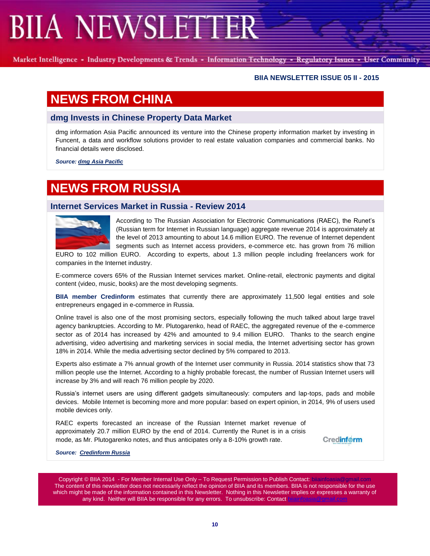Market Intelligence - Industry Developments & Trends - Information Technology - Regulatory Issues - User Community

#### **BIIA NEWSLETTER ISSUE 05 II - 2015**

### **NEWS FROM CHINA**

#### **dmg Invests in Chinese Property Data Market**

dmg information Asia Pacific announced its venture into the Chinese property information market by investing in Funcent, a data and workflow solutions provider to real estate valuation companies and commercial banks. No financial details were disclosed.

*Source: dmg [Asia Pacific](http://dmgt.com/news/1761/dmg+information+gets+foothold+in+Chinese+property+data+market+with+new+investment)*

### **NEWS FROM RUSSIA**

#### **Internet Services Market in Russia - Review 2014**



According to The Russian Association for Electronic Communications (RAEC), the Runet's (Russian term for Internet in Russian language) aggregate revenue 2014 is approximately at the level of 2013 amounting to about 14.6 million EURO. The revenue of Internet dependent segments such as Internet access providers, e-commerce etc. has grown from 76 million

EURO to 102 million EURO. According to experts, about 1.3 million people including freelancers work for companies in the Internet industry.

E-commerce covers 65% of the Russian Internet services market. Online-retail, electronic payments and digital content (video, music, books) are the most developing segments.

**BIIA member Credinform** estimates that currently there are approximately 11,500 legal entities and sole entrepreneurs engaged in e-commerce in Russia.

Online travel is also one of the most promising sectors, especially following the much talked about large travel agency bankruptcies. According to Mr. Plutogarenko, head of RAEC, the aggregated revenue of the e-commerce sector as of 2014 has increased by 42% and amounted to 9.4 million EURO. Thanks to the search engine advertising, video advertising and marketing services in social media, the Internet advertising sector has grown 18% in 2014. While the media advertising sector declined by 5% compared to 2013.

Experts also estimate a 7% annual growth of the Internet user community in Russia. 2014 statistics show that 73 million people use the Internet. According to a highly probable forecast, the number of Russian Internet users will increase by 3% and will reach 76 million people by 2020.

Russia's internet users are using different gadgets simultaneously: computers and lap-tops, pads and mobile devices. Mobile Internet is becoming more and more popular: based on expert opinion, in 2014, 9% of users used mobile devices only.

RAEC experts forecasted an increase of the Russian Internet market revenue of approximately 20.7 million EURO by the end of 2014. Currently the Runet is in a crisis mode, as Mr. Plutogarenko notes, and thus anticipates only a 8-10% growth rate.

**Credinform** 

*Source: [Credinform Russia](http://www.credinform.ru/en-US)*

Copyright © BIIA 2014 - For Member Internal Use Only - To Request Permission to Publish Contact: bilainfoa The content of this newsletter does not necessarily reflect the opinion of BIIA and its members. BIIA is not responsible for the use which might be made of the information contained in this Newsletter. Nothing in this Newsletter implies or expresses a warranty of any kind. Neither will BIIA be responsible for any errors. To unsubscribe: Contact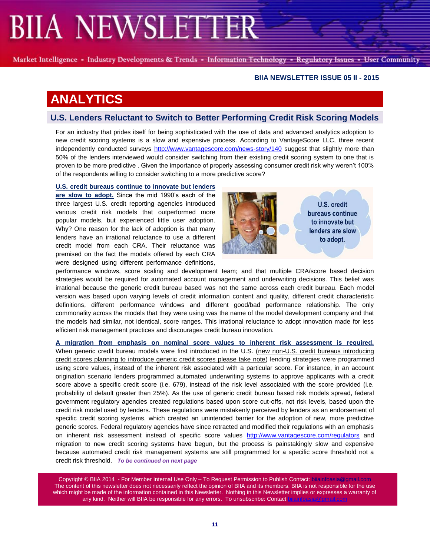Market Intelligence - Industry Developments & Trends - Information Technology - Regulatory Issues - User Community

#### **BIIA NEWSLETTER ISSUE 05 II - 2015**

### **ANALYTICS**

#### **U.S. Lenders Reluctant to Switch to Better Performing Credit Risk Scoring Models**

For an industry that prides itself for being sophisticated with the use of data and advanced analytics adoption to new credit scoring systems is a slow and expensive process. According to VantageScore LLC, three recent independently conducted surveys<http://www.vantagescore.com/news-story/140> suggest that slightly more than 50% of the lenders interviewed would consider switching from their existing credit scoring system to one that is proven to be more predictive . Given the importance of properly assessing consumer credit risk why weren't 100% of the respondents willing to consider switching to a more predictive score?

#### **U.S. credit bureaus continue to innovate but lenders**

**are slow to adopt.** Since the mid 1990's each of the three largest U.S. credit reporting agencies introduced various credit risk models that outperformed more popular models, but experienced little user adoption. Why? One reason for the lack of adoption is that many lenders have an irrational reluctance to use a different credit model from each CRA. Their reluctance was premised on the fact the models offered by each CRA were designed using different performance definitions,



U.S. credit bureaus continue to innovate but lenders are slow to adopt.

performance windows, score scaling and development team; and that multiple CRA/score based decision strategies would be required for automated account management and underwriting decisions. This belief was irrational because the generic credit bureau based was not the same across each credit bureau. Each model version was based upon varying levels of credit information content and quality, different credit characteristic definitions, different performance windows and different good/bad performance relationship. The only commonality across the models that they were using was the name of the model development company and that the models had similar, not identical, score ranges. This irrational reluctance to adopt innovation made for less efficient risk management practices and discourages credit bureau innovation.

**A migration from emphasis on nominal score values to inherent risk assessment is required.**  When generic credit bureau models were first introduced in the U.S. (new non-U.S. credit bureaus introducing credit scores planning to introduce generic credit scores please take note) lending strategies were programmed using score values, instead of the inherent risk associated with a particular score. For instance, in an account origination scenario lenders programmed automated underwriting systems to approve applicants with a credit score above a specific credit score (i.e. 679), instead of the risk level associated with the score provided (i.e. probability of default greater than 25%). As the use of generic credit bureau based risk models spread, federal government regulatory agencies created regulations based upon score cut-offs, not risk levels, based upon the credit risk model used by lenders. These regulations were mistakenly perceived by lenders as an endorsement of specific credit scoring systems, which created an unintended barrier for the adoption of new, more predictive generic scores. Federal regulatory agencies have since retracted and modified their regulations with an emphasis on inherent risk assessment instead of specific score values <http://www.vantagescore.com/regulators> and migration to new credit scoring systems have begun, but the process is painstakingly slow and expensive because automated credit risk management systems are still programmed for a specific score threshold not a credit risk threshold. *To be continued on next page*

Copyright © BIIA 2014 - For Member Internal Use Only - To Request Permission to Publish Contact: bilainfoar The content of this newsletter does not necessarily reflect the opinion of BIIA and its members. BIIA is not responsible for the use which might be made of the information contained in this Newsletter. Nothing in this Newsletter implies or expresses a warranty of any kind. Neither will BIIA be responsible for any errors. To unsubscribe: Contact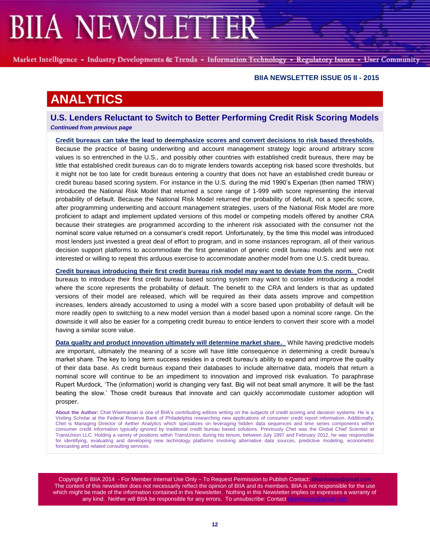Market Intelligence - Industry Developments & Trends - Information Technology - Regulatory Issues - User Community

#### **BIIA NEWSLETTER ISSUE 05 II - 2015**

### **ANALYTICS**

**U.S. Lenders Reluctant to Switch to Better Performing Credit Risk Scoring Models** *Continued from previous page*

**Credit bureaus can take the lead to deemphasize scores and convert decisions to risk based thresholds.**  Because the practice of basing underwriting and account management strategy logic around arbitrary score values is so entrenched in the U.S., and possibly other countries with established credit bureaus, there may be little that established credit bureaus can do to migrate lenders towards accepting risk based score thresholds, but it might not be too late for credit bureaus entering a country that does not have an established credit bureau or credit bureau based scoring system. For instance in the U.S. during the mid 1990's Experian (then named TRW) introduced the National Risk Model that returned a score range of 1-999 with score representing the interval probability of default. Because the National Risk Model returned the probability of default, not a specific score, after programming underwriting and account management strategies, users of the National Risk Model are more proficient to adapt and implement updated versions of this model or competing models offered by another CRA because their strategies are programmed according to the inherent risk associated with the consumer not the nominal score value returned on a consumer's credit report. Unfortunately, by the time this model was introduced most lenders just invested a great deal of effort to program, and in some instances reprogram, all of their various decision support platforms to accommodate the first generation of generic credit bureau models and were not interested or willing to repeat this arduous exercise to accommodate another model from one U.S. credit bureau.

**Credit bureaus introducing their first credit bureau risk model may want to deviate from the norm.** Credit bureaus to introduce their first credit bureau based scoring system may want to consider introducing a model where the score represents the probability of default. The benefit to the CRA and lenders is that as updated versions of their model are released, which will be required as their data assets improve and competition increases, lenders already accustomed to using a model with a score based upon probability of default will be more readily open to switching to a new model version than a model based upon a nominal score range. On the downside it will also be easier for a competing credit bureau to entice lenders to convert their score with a model having a similar score value.

**Data quality and product innovation ultimately will determine market share.** While having predictive models are important, ultimately the meaning of a score will have little consequence in determining a credit bureau's market share. The key to long term success resides in a credit bureau's ability to expand and improve the quality of their data base. As credit bureaus expand their databases to include alternative data, models that return a nominal score will continue to be an impediment to innovation and improved risk evaluation. To paraphrase Rupert Murdock, 'The (information) world is changing very fast. Big will not beat small anymore. It will be the fast beating the slow.' Those credit bureaus that innovate and can quickly accommodate customer adoption will prosper.

**About the Author:** Chet Wiermanski is one of BIIA's contributing editors writing on the subjects of credit scoring and decision systems. He is a Visiting Scholar at the Federal Reserve Bank of Philadelphia researching new applications of consumer credit report information. Additionally, Chet is Managing Director of Aether Analytics which specializes on leveraging hidden data sequences and time series components within consumer credit information typically ignored by traditional credit bureau based solutions. Previously Chet was the Global Chief Scientist at TransUnion LLC. Holding a variety of positions within TransUnion, during his tenure, between July 1997 and February 2012, he was responsible for identifying, evaluating and developing new technology platforms involving alternative data sources, predictive modeling, econometric forecasting and related consulting services.

Copyright © BIIA 2014 - For Member Internal Use Only – To Request Permission to Publish Contact: bijainfoasia The content of this newsletter does not necessarily reflect the opinion of BIIA and its members. BIIA is not responsible for the use which might be made of the information contained in this Newsletter. Nothing in this Newsletter implies or expresses a warranty of any kind. Neither will BIIA be responsible for any errors. To unsubscribe: Contact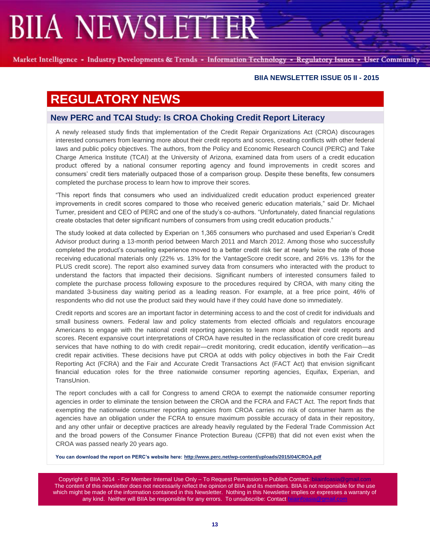Market Intelligence - Industry Developments & Trends - Information Technology - Regulatory Issues - User Community

#### **BIIA NEWSLETTER ISSUE 05 II - 2015**

### **REGULATORY NEWS**

#### **New PERC and TCAI Study: Is CROA Choking Credit Report Literacy**

A newly released study finds that implementation of the Credit Repair Organizations Act (CROA) discourages interested consumers from learning more about their credit reports and scores, creating conflicts with other federal laws and public policy objectives. The authors, from the Policy and Economic Research Council (PERC) and Take Charge America Institute (TCAI) at the University of Arizona, examined data from users of a credit education product offered by a national consumer reporting agency and found improvements in credit scores and consumers' credit tiers materially outpaced those of a comparison group. Despite these benefits, few consumers completed the purchase process to learn how to improve their scores.

"This report finds that consumers who used an individualized credit education product experienced greater improvements in credit scores compared to those who received generic education materials," said Dr. Michael Turner, president and CEO of PERC and one of the study's co-authors. "Unfortunately, dated financial regulations create obstacles that deter significant numbers of consumers from using credit education products."

The study looked at data collected by Experian on 1,365 consumers who purchased and used Experian's Credit Advisor product during a 13-month period between March 2011 and March 2012. Among those who successfully completed the product's counseling experience moved to a better credit risk tier at nearly twice the rate of those receiving educational materials only (22% vs. 13% for the VantageScore credit score, and 26% vs. 13% for the PLUS credit score). The report also examined survey data from consumers who interacted with the product to understand the factors that impacted their decisions. Significant numbers of interested consumers failed to complete the purchase process following exposure to the procedures required by CROA, with many citing the mandated 3-business day waiting period as a leading reason. For example, at a free price point, 46% of respondents who did not use the product said they would have if they could have done so immediately.

Credit reports and scores are an important factor in determining access to and the cost of credit for individuals and small business owners. Federal law and policy statements from elected officials and regulators encourage Americans to engage with the national credit reporting agencies to learn more about their credit reports and scores. Recent expansive court interpretations of CROA have resulted in the reclassification of core credit bureau services that have nothing to do with credit repair—credit monitoring, credit education, identify verification—as credit repair activities. These decisions have put CROA at odds with policy objectives in both the Fair Credit Reporting Act (FCRA) and the Fair and Accurate Credit Transactions Act (FACT Act) that envision significant financial education roles for the three nationwide consumer reporting agencies, Equifax, Experian, and TransUnion.

The report concludes with a call for Congress to amend CROA to exempt the nationwide consumer reporting agencies in order to eliminate the tension between the CROA and the FCRA and FACT Act. The report finds that exempting the nationwide consumer reporting agencies from CROA carries no risk of consumer harm as the agencies have an obligation under the FCRA to ensure maximum possible accuracy of data in their repository, and any other unfair or deceptive practices are already heavily regulated by the Federal Trade Commission Act and the broad powers of the Consumer Finance Protection Bureau (CFPB) that did not even exist when the CROA was passed nearly 20 years ago.

**You can download the report on PERC's website here: <http://www.perc.net/wp-content/uploads/2015/04/CROA.pdf>**

Copyright © BIIA 2014 - For Member Internal Use Only - To Request Permission to Publish Contact: biiainfoasia The content of this newsletter does not necessarily reflect the opinion of BIIA and its members. BIIA is not responsible for the use which might be made of the information contained in this Newsletter. Nothing in this Newsletter implies or expresses a warranty of any kind. Neither will BIIA be responsible for any errors. To unsubscribe: Contact